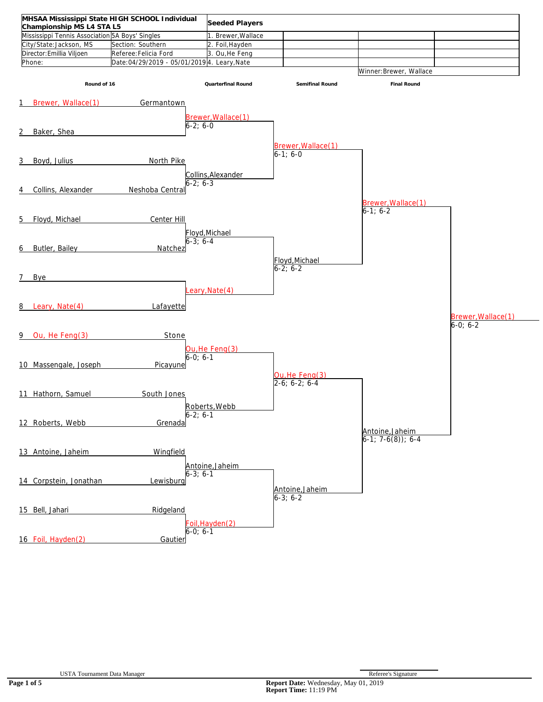| MHSAA Mississippi State HIGH SCHOOL Individual                               |                                             | Seeded Players                 |                                 |                            |                    |
|------------------------------------------------------------------------------|---------------------------------------------|--------------------------------|---------------------------------|----------------------------|--------------------|
| Championship MS L4 STA L5<br>Mississippi Tennis Association 5A Boys' Singles |                                             |                                |                                 |                            |                    |
|                                                                              |                                             | 1. Brewer, Wallace             |                                 |                            |                    |
| City/State:Jackson, MS                                                       | Section: Southern                           | 2. Foil, Hayden                |                                 |                            |                    |
| Director: Emillia Viljoen                                                    | Referee: Felicia Ford                       | 3. Ou, He Feng                 |                                 |                            |                    |
| Phone:                                                                       | Date:04/29/2019 - 05/01/2019 4. Leary, Nate |                                |                                 |                            |                    |
|                                                                              |                                             |                                |                                 | Winner: Brewer, Wallace    |                    |
| Round of 16                                                                  |                                             | Quarterfinal Round             | Semifinal Round                 | Final Round                |                    |
|                                                                              |                                             |                                |                                 |                            |                    |
| Brewer, Wallace(1)<br>1                                                      | Germantown                                  |                                |                                 |                            |                    |
|                                                                              |                                             |                                |                                 |                            |                    |
|                                                                              |                                             | Brewer, Wallace(1)<br>6-2; 6-0 |                                 |                            |                    |
|                                                                              |                                             |                                |                                 |                            |                    |
| Baker, Shea<br>2                                                             |                                             |                                |                                 |                            |                    |
|                                                                              |                                             |                                | Brewer, Wallace(1)              |                            |                    |
|                                                                              |                                             |                                | $6-1; 6-0$                      |                            |                    |
| 3<br>Boyd, Julius                                                            | North Pike                                  |                                |                                 |                            |                    |
|                                                                              |                                             |                                |                                 |                            |                    |
|                                                                              |                                             | Collins, Alexander             |                                 |                            |                    |
|                                                                              | $6-2; 6-3$                                  |                                |                                 |                            |                    |
| Collins, Alexander<br>4                                                      | Neshoba Central                             |                                |                                 |                            |                    |
|                                                                              |                                             |                                |                                 | Brewer, Wallace(1)         |                    |
|                                                                              |                                             |                                |                                 | $6-1; 6-2$                 |                    |
| Floyd, Michael<br>5                                                          | Center Hill                                 |                                |                                 |                            |                    |
|                                                                              |                                             |                                |                                 |                            |                    |
|                                                                              |                                             | Floyd, Michael                 |                                 |                            |                    |
|                                                                              | $6 - 3$ ; 6-4                               |                                |                                 |                            |                    |
| Butler, Bailey<br>6                                                          | Natchez                                     |                                |                                 |                            |                    |
|                                                                              |                                             |                                | Floyd, Michael                  |                            |                    |
|                                                                              |                                             |                                | $6-2; 6-2$                      |                            |                    |
| 7 <sup>7</sup><br>Bye                                                        |                                             |                                |                                 |                            |                    |
|                                                                              |                                             |                                |                                 |                            |                    |
|                                                                              |                                             | eary, Nate(4)                  |                                 |                            |                    |
|                                                                              |                                             |                                |                                 |                            |                    |
| Leary, Nate(4)<br>8                                                          | Lafayette                                   |                                |                                 |                            |                    |
|                                                                              |                                             |                                |                                 |                            | Brewer, Wallace(1) |
|                                                                              |                                             |                                |                                 |                            | $6-0; 6-2$         |
| Ou, He Feng(3)<br>9                                                          | Stone                                       |                                |                                 |                            |                    |
|                                                                              |                                             |                                |                                 |                            |                    |
|                                                                              |                                             | Ou, He Feng(3)                 |                                 |                            |                    |
|                                                                              | $6 - 0: 6 - 1$                              |                                |                                 |                            |                    |
| 10 Massengale, Joseph                                                        | Picayune                                    |                                |                                 |                            |                    |
|                                                                              |                                             |                                |                                 |                            |                    |
|                                                                              |                                             |                                | Ou, He Feng(3)<br>2-6; 6-2; 6-4 |                            |                    |
| 11 Hathorn, Samuel                                                           | South Jones                                 |                                |                                 |                            |                    |
|                                                                              |                                             |                                |                                 |                            |                    |
|                                                                              |                                             | Roberts Webb                   |                                 |                            |                    |
|                                                                              | $6-2; 6-1$                                  |                                |                                 |                            |                    |
| 12 Roberts, Webb                                                             | Grenada                                     |                                |                                 |                            |                    |
|                                                                              |                                             |                                |                                 | Antoine, Jaheim            |                    |
|                                                                              |                                             |                                |                                 | $6-1$ ; 7 $-6(8)$ ; 6 $-4$ |                    |
| 13 Antoine, Jaheim                                                           | Wingfield                                   |                                |                                 |                            |                    |
|                                                                              |                                             |                                |                                 |                            |                    |
|                                                                              |                                             | Antoine, Jaheim                |                                 |                            |                    |
|                                                                              | 6-3; 6-1                                    |                                |                                 |                            |                    |
| 14 Corpstein, Jonathan                                                       | Lewisburg                                   |                                |                                 |                            |                    |
|                                                                              |                                             |                                | Antoine, Jaheim                 |                            |                    |
|                                                                              |                                             |                                | $6-3; 6-2$                      |                            |                    |
|                                                                              |                                             |                                |                                 |                            |                    |
| 15 Bell, Jahari                                                              | Ridgeland                                   |                                |                                 |                            |                    |
|                                                                              |                                             | Foil, Hayden(2)                |                                 |                            |                    |
|                                                                              | $6-0; 6-1$                                  |                                |                                 |                            |                    |
| 16 Foil, Hayden(2)                                                           | Gautier                                     |                                |                                 |                            |                    |
|                                                                              |                                             |                                |                                 |                            |                    |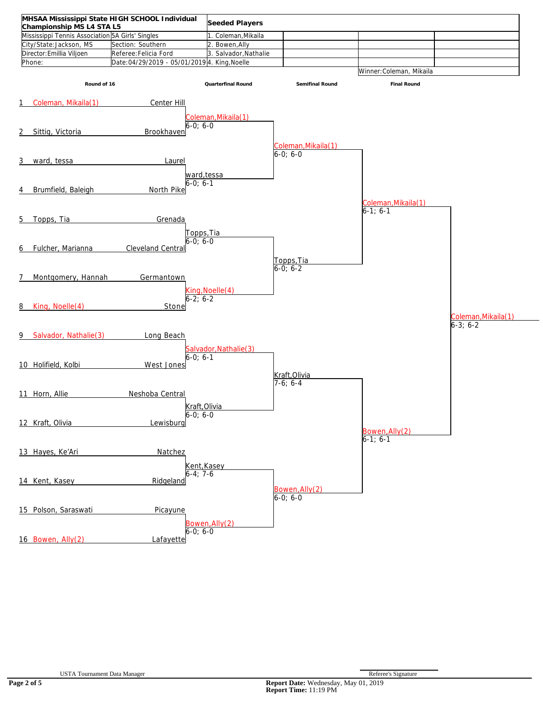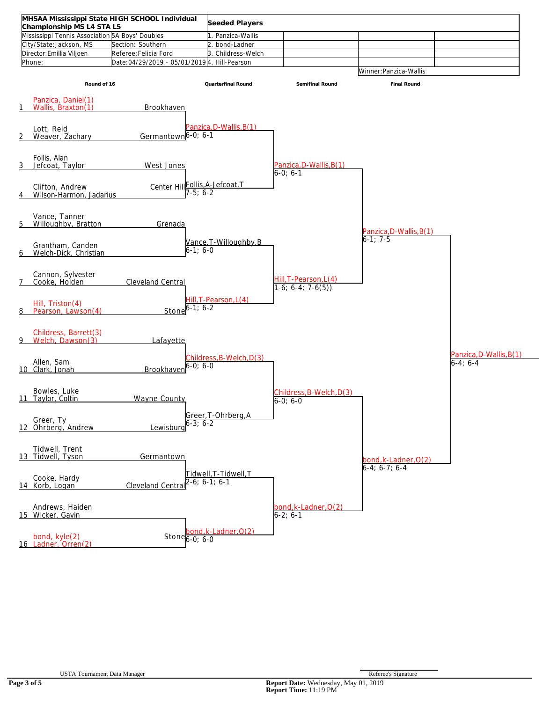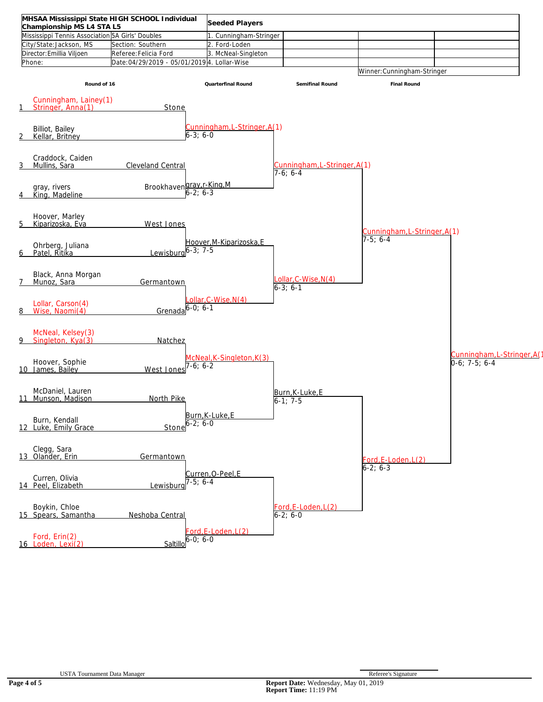